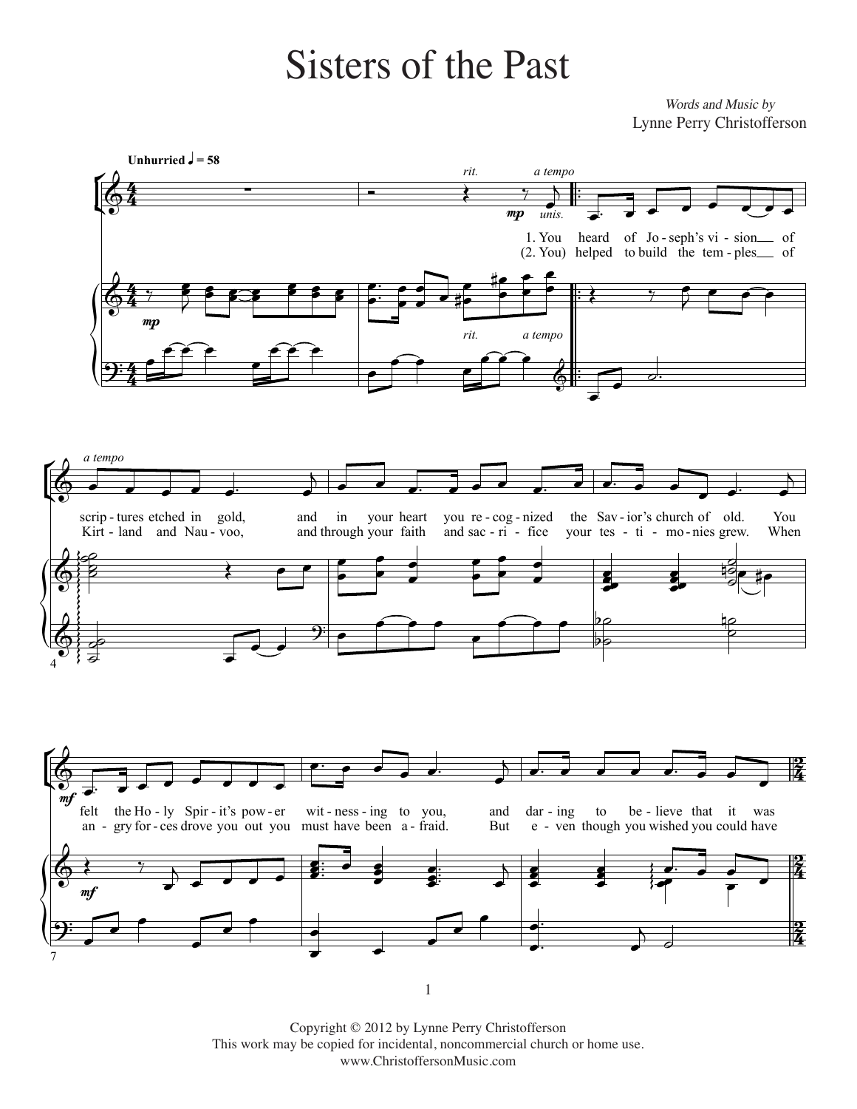## **Sisters of the Past**

Words and Music by Lynne Perry Christofferson





Copyright © 2012 by Lynne Perry Christofferson This work may be copied for incidental, noncommercial church or home use. www.ChristoffersonMusic.com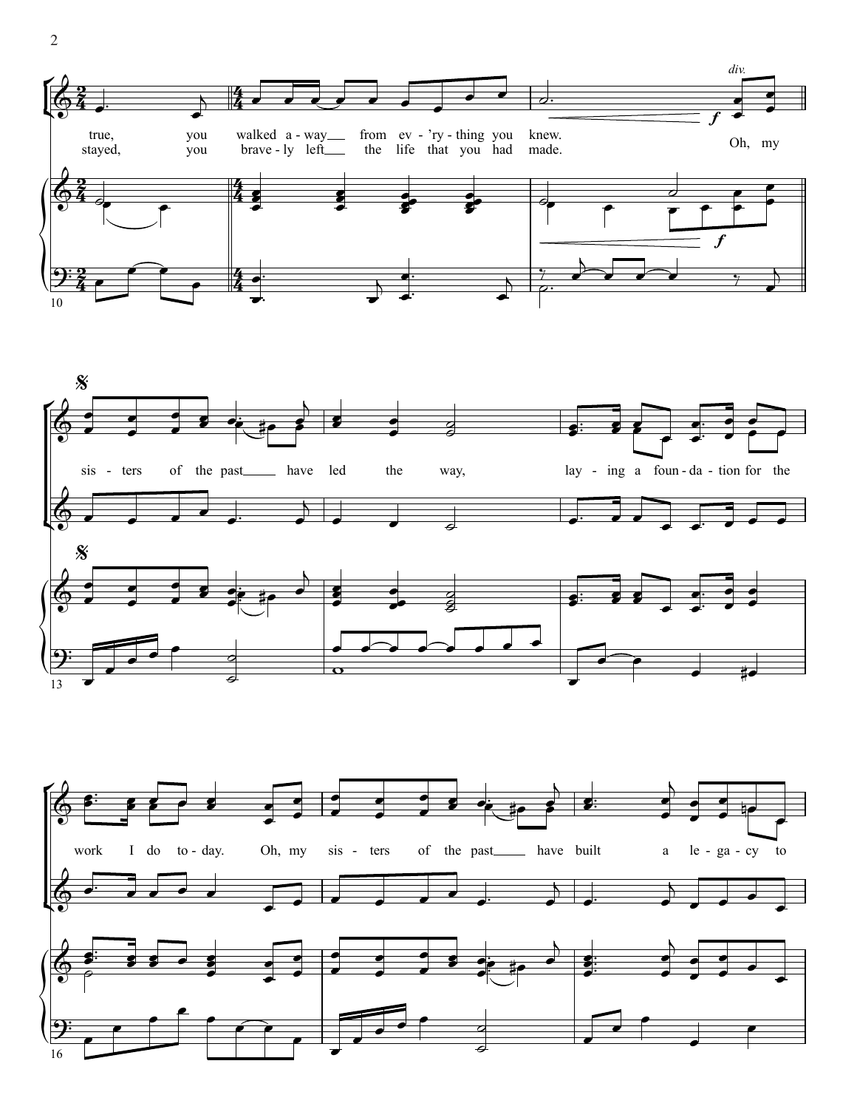